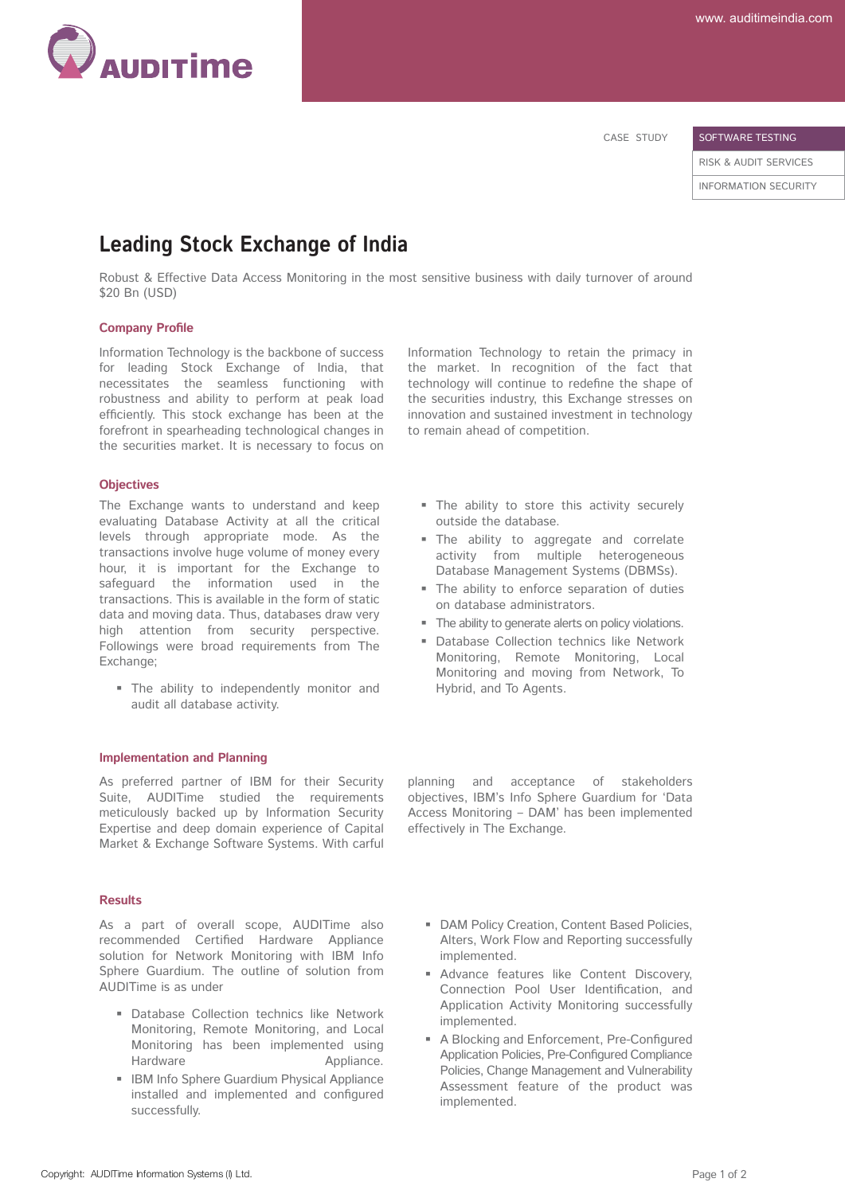

CASE STUDY

SOFTWARE TESTING

RISK & AUDIT SERVICES INFORMATION SECURITY

# **Leading Stock Exchange of India**

Robust & Effective Data Access Monitoring in the most sensitive business with daily turnover of around \$20 Bn (USD)

#### **Company Profile**

Information Technology is the backbone of success for leading Stock Exchange of India, that necessitates the seamless functioning with robustness and ability to perform at peak load efficiently. This stock exchange has been at the forefront in spearheading technological changes in the securities market. It is necessary to focus on

#### **Objectives**

The Exchange wants to understand and keep evaluating Database Activity at all the critical levels through appropriate mode. As the transactions involve huge volume of money every hour, it is important for the Exchange to safeguard the information used in the transactions. This is available in the form of static data and moving data. Thus, databases draw very high attention from security perspective. Followings were broad requirements from The Exchange;

 The ability to independently monitor and audit all database activity.

#### **Implementation and Planning**

As preferred partner of IBM for their Security Suite, AUDITime studied the requirements meticulously backed up by Information Security Expertise and deep domain experience of Capital Market & Exchange Software Systems. With carful

#### **Results**

As a part of overall scope, AUDITime also recommended Certified Hardware Appliance solution for Network Monitoring with IBM Info Sphere Guardium. The outline of solution from AUDITime is as under

- Database Collection technics like Network Monitoring, Remote Monitoring, and Local Monitoring has been implemented using Hardware **Appliance**.
- **IBM Info Sphere Guardium Physical Appliance**  installed and implemented and configured successfully.

Information Technology to retain the primacy in the market. In recognition of the fact that technology will continue to redefine the shape of the securities industry, this Exchange stresses on innovation and sustained investment in technology to remain ahead of competition.

- The ability to store this activity securely outside the database.
- The ability to aggregate and correlate activity from multiple heterogeneous Database Management Systems (DBMSs).
- The ability to enforce separation of duties on database administrators.
- The ability to generate alerts on policy violations.
- **Database Collection technics like Network**  Monitoring, Remote Monitoring, Local Monitoring and moving from Network, To Hybrid, and To Agents.

planning and acceptance of stakeholders objectives, IBM's Info Sphere Guardium for 'Data Access Monitoring – DAM' has been implemented effectively in The Exchange.

- **DAM Policy Creation, Content Based Policies,**  Alters, Work Flow and Reporting successfully implemented.
- **Advance features like Content Discovery,**  Connection Pool User Identification, and Application Activity Monitoring successfully implemented.
- A Blocking and Enforcement, Pre-Configured Application Policies, Pre-Configured Compliance Policies, Change Management and Vulnerability Assessment feature of the product was implemented.